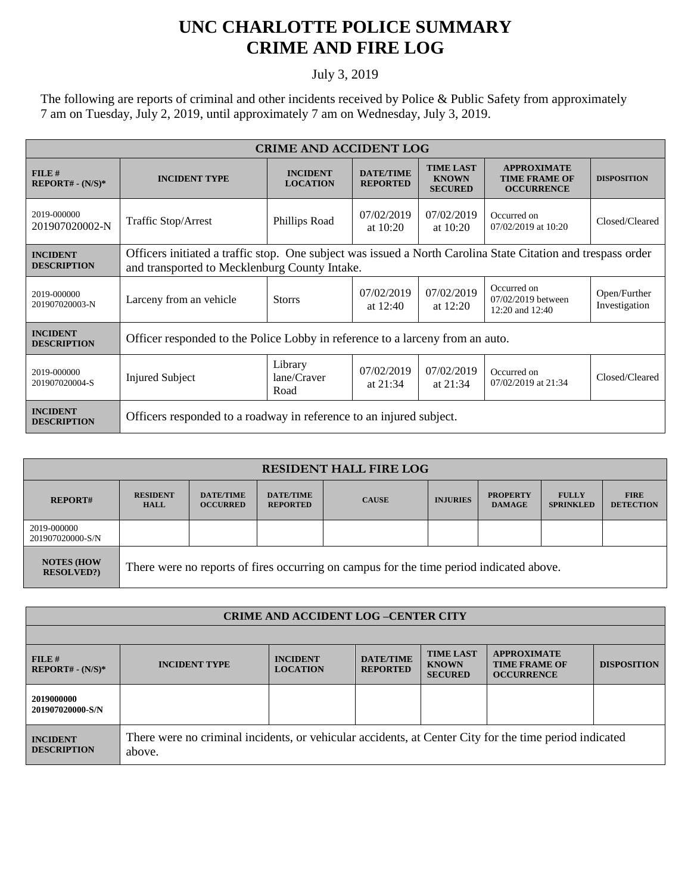## **UNC CHARLOTTE POLICE SUMMARY CRIME AND FIRE LOG**

## July 3, 2019

The following are reports of criminal and other incidents received by Police & Public Safety from approximately 7 am on Tuesday, July 2, 2019, until approximately 7 am on Wednesday, July 3, 2019.

| <b>CRIME AND ACCIDENT LOG</b>         |                                                                                                                                                               |                                    |                                     |                                                    |                                                                 |                               |  |  |
|---------------------------------------|---------------------------------------------------------------------------------------------------------------------------------------------------------------|------------------------------------|-------------------------------------|----------------------------------------------------|-----------------------------------------------------------------|-------------------------------|--|--|
| $FILE$ #<br>$REPORT# - (N/S)*$        | <b>INCIDENT TYPE</b>                                                                                                                                          | <b>INCIDENT</b><br><b>LOCATION</b> | <b>DATE/TIME</b><br><b>REPORTED</b> | <b>TIME LAST</b><br><b>KNOWN</b><br><b>SECURED</b> | <b>APPROXIMATE</b><br><b>TIME FRAME OF</b><br><b>OCCURRENCE</b> | <b>DISPOSITION</b>            |  |  |
| 2019-000000<br>201907020002-N         | <b>Traffic Stop/Arrest</b>                                                                                                                                    | Phillips Road                      | 07/02/2019<br>at $10:20$            | 07/02/2019<br>at $10:20$                           | Occurred on<br>07/02/2019 at 10:20                              | Closed/Cleared                |  |  |
| <b>INCIDENT</b><br><b>DESCRIPTION</b> | Officers initiated a traffic stop. One subject was issued a North Carolina State Citation and trespass order<br>and transported to Mecklenburg County Intake. |                                    |                                     |                                                    |                                                                 |                               |  |  |
| 2019-000000<br>201907020003-N         | Larceny from an vehicle                                                                                                                                       | <b>Storrs</b>                      | 07/02/2019<br>at $12:40$            | 07/02/2019<br>at $12:20$                           | Occurred on<br>07/02/2019 between<br>12:20 and $12:40$          | Open/Further<br>Investigation |  |  |
| <b>INCIDENT</b><br><b>DESCRIPTION</b> | Officer responded to the Police Lobby in reference to a larceny from an auto.                                                                                 |                                    |                                     |                                                    |                                                                 |                               |  |  |
| 2019-000000<br>201907020004-S         | <b>Injured Subject</b>                                                                                                                                        | Library<br>lane/Craver<br>Road     | 07/02/2019<br>at $21:34$            | 07/02/2019<br>at $21:34$                           | Occurred on<br>07/02/2019 at 21:34                              | Closed/Cleared                |  |  |
| <b>INCIDENT</b><br><b>DESCRIPTION</b> | Officers responded to a roadway in reference to an injured subject.                                                                                           |                                    |                                     |                                                    |                                                                 |                               |  |  |

| <b>RESIDENT HALL FIRE LOG</b>         |                                                                                         |                                     |                                     |              |                 |                                  |                                  |                                 |
|---------------------------------------|-----------------------------------------------------------------------------------------|-------------------------------------|-------------------------------------|--------------|-----------------|----------------------------------|----------------------------------|---------------------------------|
| <b>REPORT#</b>                        | <b>RESIDENT</b><br><b>HALL</b>                                                          | <b>DATE/TIME</b><br><b>OCCURRED</b> | <b>DATE/TIME</b><br><b>REPORTED</b> | <b>CAUSE</b> | <b>INJURIES</b> | <b>PROPERTY</b><br><b>DAMAGE</b> | <b>FULLY</b><br><b>SPRINKLED</b> | <b>FIRE</b><br><b>DETECTION</b> |
| 2019-000000<br>201907020000-S/N       |                                                                                         |                                     |                                     |              |                 |                                  |                                  |                                 |
| <b>NOTES (HOW</b><br><b>RESOLVED?</b> | There were no reports of fires occurring on campus for the time period indicated above. |                                     |                                     |              |                 |                                  |                                  |                                 |

| <b>CRIME AND ACCIDENT LOG-CENTER CITY</b> |                                                                                                                  |                                    |                                     |                                                    |                                                                 |                    |  |
|-------------------------------------------|------------------------------------------------------------------------------------------------------------------|------------------------------------|-------------------------------------|----------------------------------------------------|-----------------------------------------------------------------|--------------------|--|
|                                           |                                                                                                                  |                                    |                                     |                                                    |                                                                 |                    |  |
| FILE H<br>$REPORT# - (N/S)*$              | <b>INCIDENT TYPE</b>                                                                                             | <b>INCIDENT</b><br><b>LOCATION</b> | <b>DATE/TIME</b><br><b>REPORTED</b> | <b>TIME LAST</b><br><b>KNOWN</b><br><b>SECURED</b> | <b>APPROXIMATE</b><br><b>TIME FRAME OF</b><br><b>OCCURRENCE</b> | <b>DISPOSITION</b> |  |
| 2019000000<br>201907020000-S/N            |                                                                                                                  |                                    |                                     |                                                    |                                                                 |                    |  |
| <b>INCIDENT</b><br><b>DESCRIPTION</b>     | There were no criminal incidents, or vehicular accidents, at Center City for the time period indicated<br>above. |                                    |                                     |                                                    |                                                                 |                    |  |